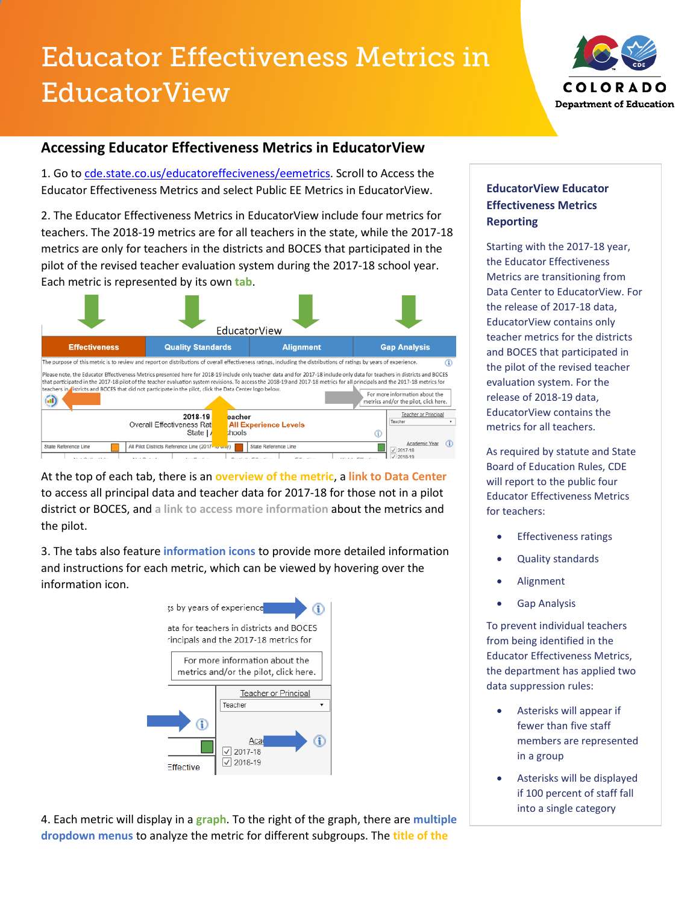# Educator Effectiveness Metrics in EducatorView



## **Accessing Educator Effectiveness Metrics in EducatorView**

1. Go to [cde.state.co.us/educatoreffeciveness/eemetrics.](http://www.cde.state.co.us/educatoreffectiveness/eemetrics) Scroll to Access the Educator Effectiveness Metrics and select Public EE Metrics in EducatorView.

2. The Educator Effectiveness Metrics in EducatorView include four metrics for teachers. The 2018-19 metrics are for all teachers in the state, while the 2017-18 metrics are only for teachers in the districts and BOCES that participated in the pilot of the revised teacher evaluation system during the 2017-18 school year. Each metric is represented by its own **tab**.



At the top of each tab, there is an **overview of the metric**, a **link to Data Center** to access all principal data and teacher data for 2017-18 for those not in a pilot district or BOCES, and **a link to access more information** about the metrics and the pilot.

3. The tabs also feature **information icons** to provide more detailed information and instructions for each metric, which can be viewed by hovering over the information icon.



4. Each metric will display in a **graph**. To the right of the graph, there are **multiple dropdown menus** to analyze the metric for different subgroups. The **title of the** 

### **EducatorView Educator Effectiveness Metrics Reporting**

Starting with the 2017-18 year, the Educator Effectiveness Metrics are transitioning from Data Center to EducatorView. For the release of 2017-18 data, EducatorView contains only teacher metrics for the districts and BOCES that participated in the pilot of the revised teacher evaluation system. For the release of 2018-19 data, EducatorView contains the metrics for all teachers.

As required by statute and State Board of Education Rules, CDE will report to the public four Educator Effectiveness Metrics for teachers:

- **Effectiveness ratings**
- Quality standards
- Alignment
- Gap Analysis

To prevent individual teachers from being identified in the Educator Effectiveness Metrics, the department has applied two data suppression rules:

- Asterisks will appear if fewer than five staff members are represented in a group
- Asterisks will be displayed if 100 percent of staff fall into a single category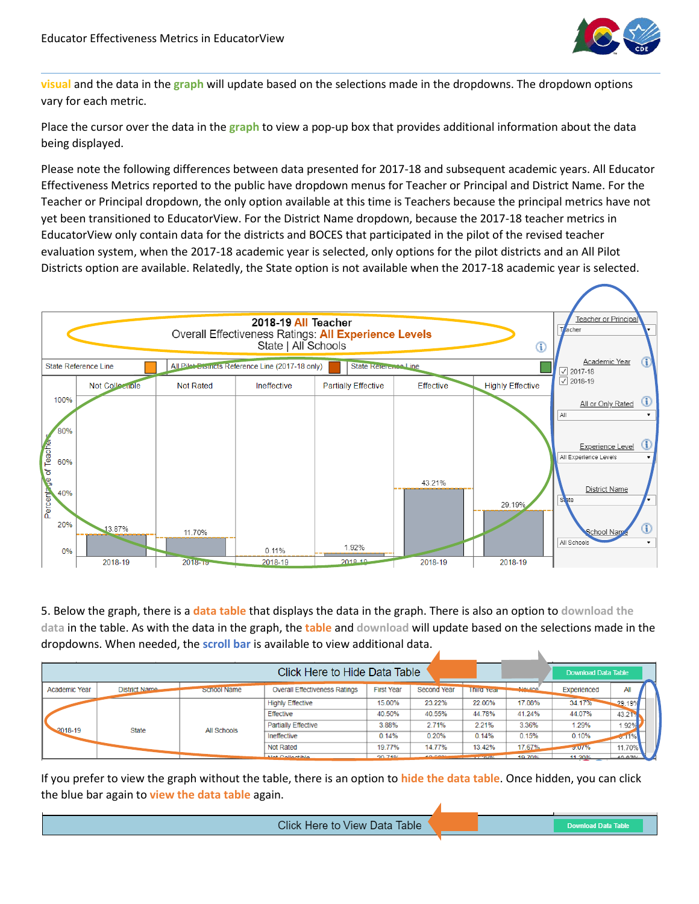

**visual** and the data in the **graph** will update based on the selections made in the dropdowns. The dropdown options vary for each metric.

Place the cursor over the data in the **graph** to view a pop-up box that provides additional information about the data being displayed.

Please note the following differences between data presented for 2017-18 and subsequent academic years. All Educator Effectiveness Metrics reported to the public have dropdown menus for Teacher or Principal and District Name. For the Teacher or Principal dropdown, the only option available at this time is Teachers because the principal metrics have not yet been transitioned to EducatorView. For the District Name dropdown, because the 2017-18 teacher metrics in EducatorView only contain data for the districts and BOCES that participated in the pilot of the revised teacher evaluation system, when the 2017-18 academic year is selected, only options for the pilot districts and an All Pilot Districts option are available. Relatedly, the State option is not available when the 2017-18 academic year is selected.



5. Below the graph, there is a **data table** that displays the data in the graph. There is also an option to **download the data** in the table. As with the data in the graph, the **table** and **download** will update based on the selections made in the dropdowns. When needed, the **scroll bar** is available to view additional data.

|                      |                      |                    | Click Here to Hide Data Table        |                   |             |                                                                                                                               |           | <b>Download Data Table</b> |        |  |
|----------------------|----------------------|--------------------|--------------------------------------|-------------------|-------------|-------------------------------------------------------------------------------------------------------------------------------|-----------|----------------------------|--------|--|
| <b>Academic Year</b> | <b>District Name</b> | <b>SCROOL Name</b> | <b>Overall Effectiveness Ratings</b> | <b>First Year</b> | Second Year | <b>Third Tear</b>                                                                                                             | أموابيملك | Experienced                | All    |  |
| $-2018-19$           | <b>State</b>         | <b>All Schools</b> | <b>Highly Effective</b>              | 15.00%            | 23.22%      | 22.06%                                                                                                                        | 17.88%    | 34.17%                     | 29.19% |  |
|                      |                      |                    | <b>Effective</b>                     | 40.50%            | 40.55%      | 44.78%                                                                                                                        | 41.24%    | 44.07%                     | 43.217 |  |
|                      |                      |                    | <b>Partially Effective</b>           | 3.88%             | 2.71%       | 2.21%                                                                                                                         | 3.36%     | 1.29%                      | 1.92%  |  |
|                      |                      |                    | Ineffective                          | 0.14%             | 0.20%       | 0.14%                                                                                                                         | 0.15%     | 0.10%                      | $-11%$ |  |
|                      |                      |                    | <b>Not Rated</b>                     | 19.77%            | 14.77%      | 13.42%                                                                                                                        | 17.67%    | $-0.01%$                   | 11.70% |  |
|                      |                      |                    | <b>Mot Collectible</b>               | OO 749/           | 40 COAL     | <b><i>Committee State State State State State State State State State State State State State State State State State</i></b> | ADZ00     | 44.000/                    | 40.070 |  |

If you prefer to view the graph without the table, there is an option to **hide the data table**. Once hidden, you can click the blue bar again to **view the data table** again.

Click Here to View Data Table

**Download Data Table**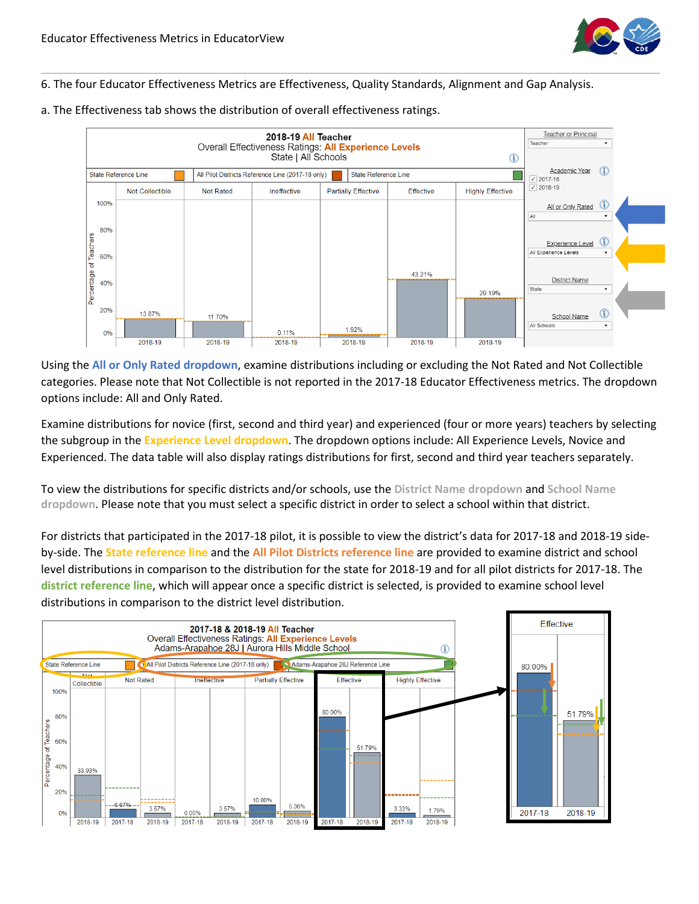

#### 6. The four Educator Effectiveness Metrics are Effectiveness, Quality Standards, Alignment and Gap Analysis.



a. The Effectiveness tab shows the distribution of overall effectiveness ratings.

Using the **All or Only Rated dropdown**, examine distributions including or excluding the Not Rated and Not Collectible categories. Please note that Not Collectible is not reported in the 2017-18 Educator Effectiveness metrics. The dropdown options include: All and Only Rated.

Examine distributions for novice (first, second and third year) and experienced (four or more years) teachers by selecting the subgroup in the **Experience Level dropdown**. The dropdown options include: All Experience Levels, Novice and Experienced. The data table will also display ratings distributions for first, second and third year teachers separately.

To view the distributions for specific districts and/or schools, use the **District Name dropdown** and **School Name dropdown**. Please note that you must select a specific district in order to select a school within that district.

For districts that participated in the 2017-18 pilot, it is possible to view the district's data for 2017-18 and 2018-19 sideby-side. The **State reference line** and the **All Pilot Districts reference line** are provided to examine district and school level distributions in comparison to the distribution for the state for 2018-19 and for all pilot districts for 2017-18. The **district reference line**, which will appear once a specific district is selected, is provided to examine school level distributions in comparison to the district level distribution.

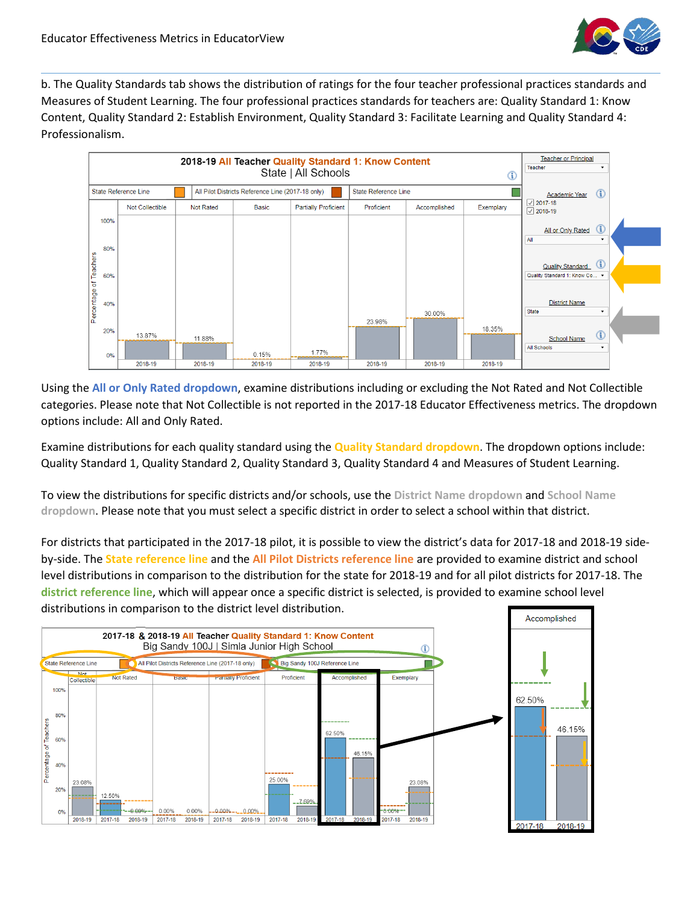

b. The Quality Standards tab shows the distribution of ratings for the four teacher professional practices standards and Measures of Student Learning. The four professional practices standards for teachers are: Quality Standard 1: Know Content, Quality Standard 2: Establish Environment, Quality Standard 3: Facilitate Learning and Quality Standard 4: Professionalism.



Using the **All or Only Rated dropdown**, examine distributions including or excluding the Not Rated and Not Collectible categories. Please note that Not Collectible is not reported in the 2017-18 Educator Effectiveness metrics. The dropdown options include: All and Only Rated.

Examine distributions for each quality standard using the **Quality Standard dropdown**. The dropdown options include: Quality Standard 1, Quality Standard 2, Quality Standard 3, Quality Standard 4 and Measures of Student Learning.

To view the distributions for specific districts and/or schools, use the **District Name dropdown** and **School Name dropdown**. Please note that you must select a specific district in order to select a school within that district.

For districts that participated in the 2017-18 pilot, it is possible to view the district's data for 2017-18 and 2018-19 sideby-side. The **State reference line** and the **All Pilot Districts reference line** are provided to examine district and school level distributions in comparison to the distribution for the state for 2018-19 and for all pilot districts for 2017-18. The **district reference line**, which will appear once a specific district is selected, is provided to examine school level distributions in comparison to the district level distribution.

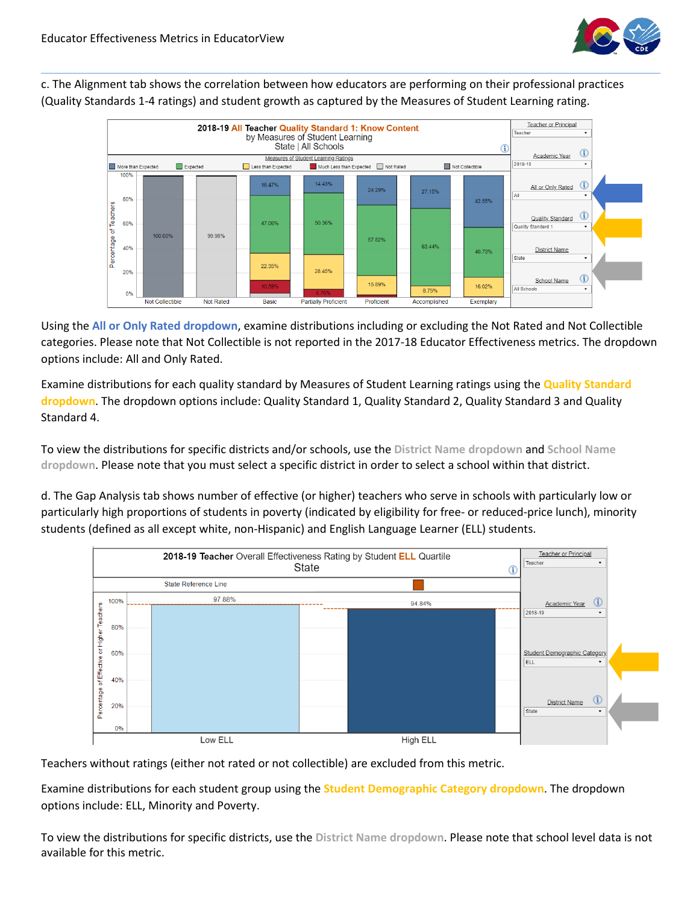

c. The Alignment tab shows the correlation between how educators are performing on their professional practices (Quality Standards 1-4 ratings) and student growth as captured by the Measures of Student Learning rating.



Using the **All or Only Rated dropdown**, examine distributions including or excluding the Not Rated and Not Collectible categories. Please note that Not Collectible is not reported in the 2017-18 Educator Effectiveness metrics. The dropdown options include: All and Only Rated.

Examine distributions for each quality standard by Measures of Student Learning ratings using the **Quality Standard dropdown**. The dropdown options include: Quality Standard 1, Quality Standard 2, Quality Standard 3 and Quality Standard 4.

To view the distributions for specific districts and/or schools, use the **District Name dropdown** and **School Name dropdown**. Please note that you must select a specific district in order to select a school within that district.

d. The Gap Analysis tab shows number of effective (or higher) teachers who serve in schools with particularly low or particularly high proportions of students in poverty (indicated by eligibility for free- or reduced-price lunch), minority students (defined as all except white, non-Hispanic) and English Language Learner (ELL) students.



Teachers without ratings (either not rated or not collectible) are excluded from this metric.

Examine distributions for each student group using the **Student Demographic Category dropdown**. The dropdown options include: ELL, Minority and Poverty.

To view the distributions for specific districts, use the **District Name dropdown**. Please note that school level data is not available for this metric.